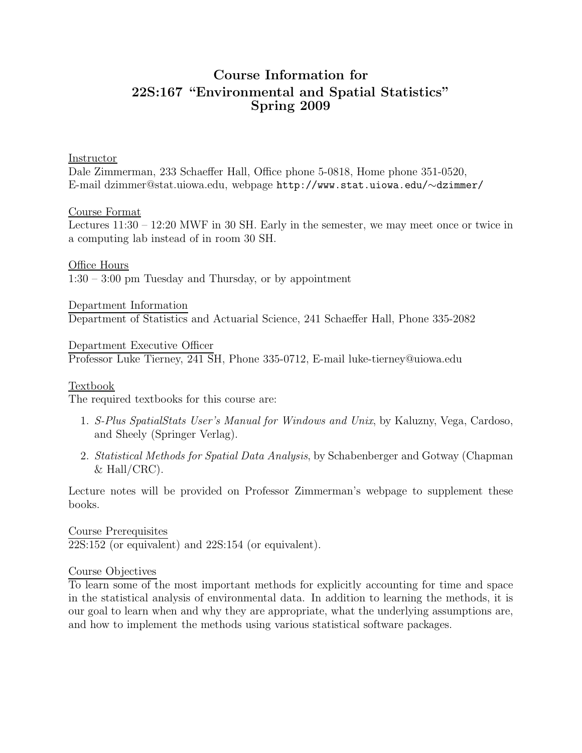# Course Information for 22S:167 "Environmental and Spatial Statistics" Spring 2009

#### Instructor

Dale Zimmerman, 233 Schaeffer Hall, Office phone 5-0818, Home phone 351-0520, E-mail dzimmer@stat.uiowa.edu, webpage http://www.stat.uiowa.edu/∼dzimmer/

### Course Format

Lectures 11:30 – 12:20 MWF in 30 SH. Early in the semester, we may meet once or twice in a computing lab instead of in room 30 SH.

Office Hours 1:30 – 3:00 pm Tuesday and Thursday, or by appointment

Department Information Department of Statistics and Actuarial Science, 241 Schaeffer Hall, Phone 335-2082

Department Executive Officer Professor Luke Tierney, 241 SH, Phone 335-0712, E-mail luke-tierney@uiowa.edu

## Textbook

The required textbooks for this course are:

- 1. S-Plus SpatialStats User's Manual for Windows and Unix, by Kaluzny, Vega, Cardoso, and Sheely (Springer Verlag).
- 2. Statistical Methods for Spatial Data Analysis, by Schabenberger and Gotway (Chapman  $& Hall/CRC$ ).

Lecture notes will be provided on Professor Zimmerman's webpage to supplement these books.

Course Prerequisites 22S:152 (or equivalent) and 22S:154 (or equivalent).

#### Course Objectives

To learn some of the most important methods for explicitly accounting for time and space in the statistical analysis of environmental data. In addition to learning the methods, it is our goal to learn when and why they are appropriate, what the underlying assumptions are, and how to implement the methods using various statistical software packages.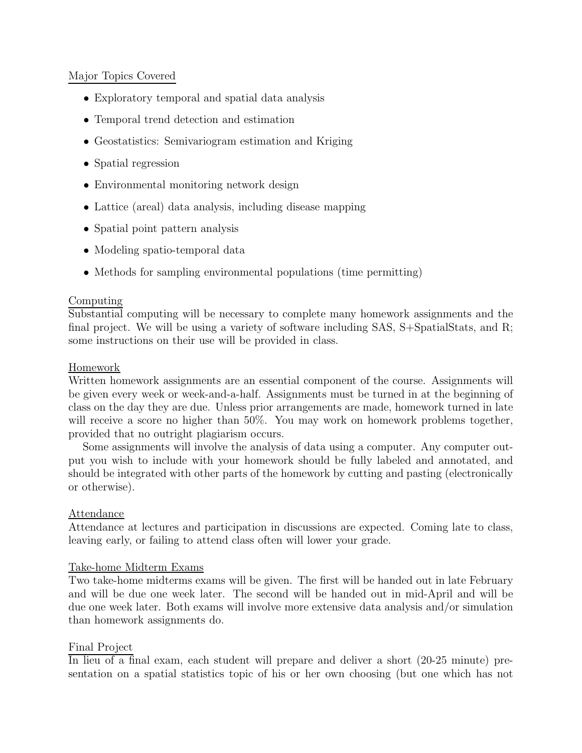# Major Topics Covered

- Exploratory temporal and spatial data analysis
- Temporal trend detection and estimation
- Geostatistics: Semivariogram estimation and Kriging
- Spatial regression
- Environmental monitoring network design
- Lattice (areal) data analysis, including disease mapping
- Spatial point pattern analysis
- Modeling spatio-temporal data
- Methods for sampling environmental populations (time permitting)

# Computing

Substantial computing will be necessary to complete many homework assignments and the final project. We will be using a variety of software including SAS, S+SpatialStats, and R; some instructions on their use will be provided in class.

# Homework

Written homework assignments are an essential component of the course. Assignments will be given every week or week-and-a-half. Assignments must be turned in at the beginning of class on the day they are due. Unless prior arrangements are made, homework turned in late will receive a score no higher than  $50\%$ . You may work on homework problems together, provided that no outright plagiarism occurs.

Some assignments will involve the analysis of data using a computer. Any computer output you wish to include with your homework should be fully labeled and annotated, and should be integrated with other parts of the homework by cutting and pasting (electronically or otherwise).

## Attendance

Attendance at lectures and participation in discussions are expected. Coming late to class, leaving early, or failing to attend class often will lower your grade.

## Take-home Midterm Exams

Two take-home midterms exams will be given. The first will be handed out in late February and will be due one week later. The second will be handed out in mid-April and will be due one week later. Both exams will involve more extensive data analysis and/or simulation than homework assignments do.

## Final Project

In lieu of a final exam, each student will prepare and deliver a short (20-25 minute) presentation on a spatial statistics topic of his or her own choosing (but one which has not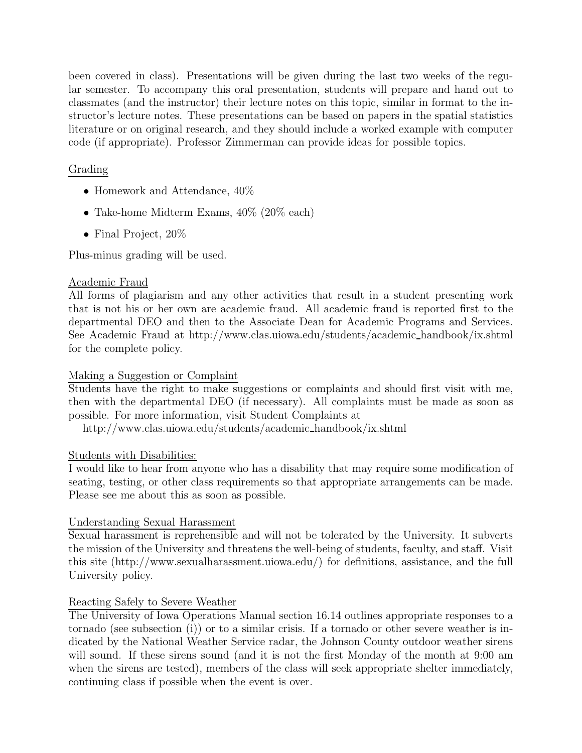been covered in class). Presentations will be given during the last two weeks of the regular semester. To accompany this oral presentation, students will prepare and hand out to classmates (and the instructor) their lecture notes on this topic, similar in format to the instructor's lecture notes. These presentations can be based on papers in the spatial statistics literature or on original research, and they should include a worked example with computer code (if appropriate). Professor Zimmerman can provide ideas for possible topics.

# Grading

- Homework and Attendance,  $40\%$
- Take-home Midterm Exams,  $40\%$  (20% each)
- Final Project, 20%

Plus-minus grading will be used.

### Academic Fraud

All forms of plagiarism and any other activities that result in a student presenting work that is not his or her own are academic fraud. All academic fraud is reported first to the departmental DEO and then to the Associate Dean for Academic Programs and Services. See Academic Fraud at http://www.clas.uiowa.edu/students/academic handbook/ix.shtml for the complete policy.

#### Making a Suggestion or Complaint

Students have the right to make suggestions or complaints and should first visit with me, then with the departmental DEO (if necessary). All complaints must be made as soon as possible. For more information, visit Student Complaints at

http://www.clas.uiowa.edu/students/academic handbook/ix.shtml

#### Students with Disabilities:

I would like to hear from anyone who has a disability that may require some modification of seating, testing, or other class requirements so that appropriate arrangements can be made. Please see me about this as soon as possible.

## Understanding Sexual Harassment

Sexual harassment is reprehensible and will not be tolerated by the University. It subverts the mission of the University and threatens the well-being of students, faculty, and staff. Visit this site (http://www.sexualharassment.uiowa.edu/) for definitions, assistance, and the full University policy.

## Reacting Safely to Severe Weather

The University of Iowa Operations Manual section 16.14 outlines appropriate responses to a tornado (see subsection (i)) or to a similar crisis. If a tornado or other severe weather is indicated by the National Weather Service radar, the Johnson County outdoor weather sirens will sound. If these sirens sound (and it is not the first Monday of the month at 9:00 am when the sirens are tested), members of the class will seek appropriate shelter immediately, continuing class if possible when the event is over.